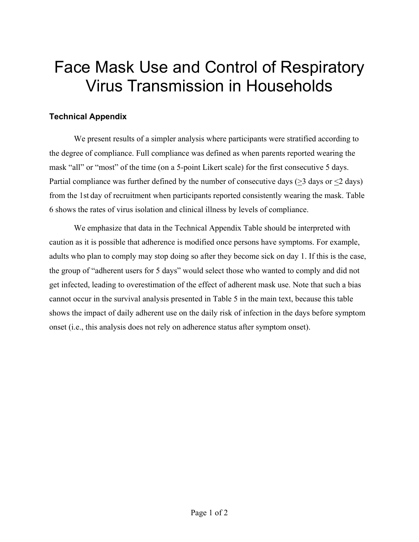## Face Mask Use and Control of Respiratory Virus Transmission in Households

## **Technical Appendix**

We present results of a simpler analysis where participants were stratified according to the degree of compliance. Full compliance was defined as when parents reported wearing the mask "all" or "most" of the time (on a 5-point Likert scale) for the first consecutive 5 days. Partial compliance was further defined by the number of consecutive days  $(>3$  days or  $\leq 2$  days) from the 1st day of recruitment when participants reported consistently wearing the mask. Table 6 shows the rates of virus isolation and clinical illness by levels of compliance.

We emphasize that data in the Technical Appendix Table should be interpreted with caution as it is possible that adherence is modified once persons have symptoms. For example, adults who plan to comply may stop doing so after they become sick on day 1. If this is the case, the group of "adherent users for 5 days" would select those who wanted to comply and did not get infected, leading to overestimation of the effect of adherent mask use. Note that such a bias cannot occur in the survival analysis presented in Table 5 in the main text, because this table shows the impact of daily adherent use on the daily risk of infection in the days before symptom onset (i.e., this analysis does not rely on adherence status after symptom onset).